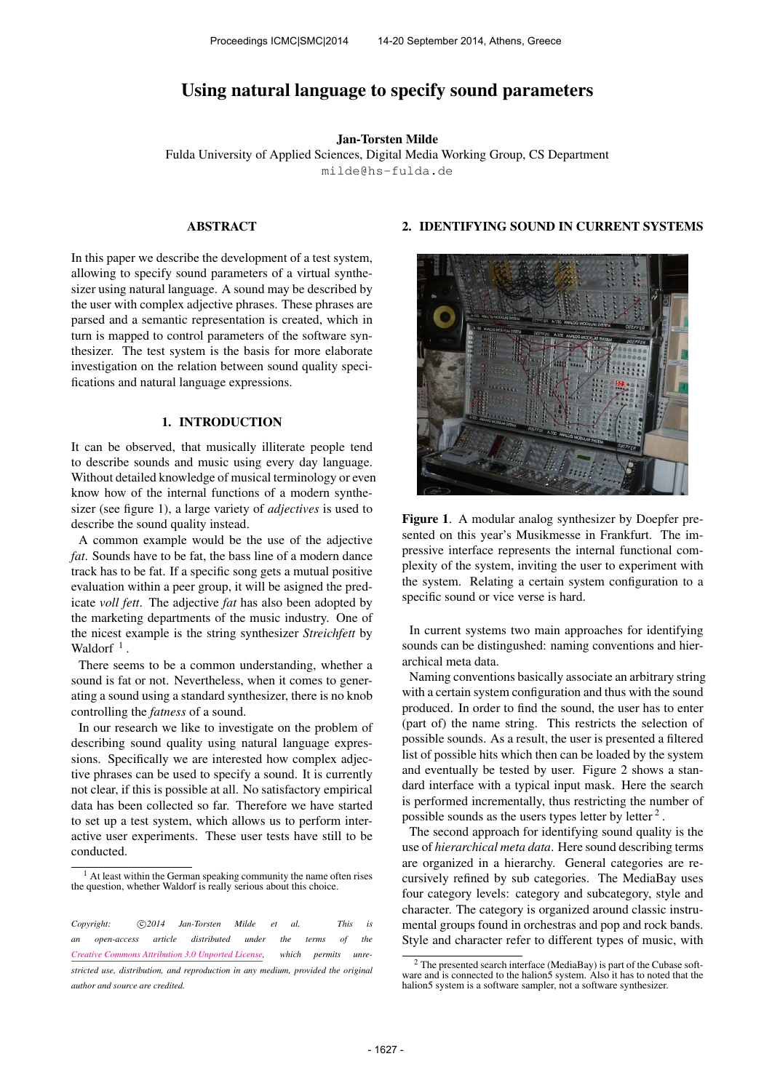# Using natural language to specify sound parameters

Jan-Torsten Milde

Fulda University of Applied Sciences, Digital Media Working Group, CS Department [milde@hs-fulda.de](mailto:milde@hs-fulda.de)

# ABSTRACT

In this paper we describe the development of a test system, allowing to specify sound parameters of a virtual synthesizer using natural language. A sound may be described by the user with complex adjective phrases. These phrases are parsed and a semantic representation is created, which in turn is mapped to control parameters of the software synthesizer. The test system is the basis for more elaborate investigation on the relation between sound quality specifications and natural language expressions.

### 1. INTRODUCTION

It can be observed, that musically illiterate people tend to describe sounds and music using every day language. Without detailed knowledge of musical terminology or even know how of the internal functions of a modern synthesizer (see figure 1), a large variety of *adjectives* is used to describe the sound quality instead.

A common example would be the use of the adjective *fat*. Sounds have to be fat, the bass line of a modern dance track has to be fat. If a specific song gets a mutual positive evaluation within a peer group, it will be asigned the predicate *voll fett*. The adjective *fat* has also been adopted by the marketing departments of the music industry. One of the nicest example is the string synthesizer *Streichfett* by Waldorf<sup> $1$ </sup>.

There seems to be a common understanding, whether a sound is fat or not. Nevertheless, when it comes to generating a sound using a standard synthesizer, there is no knob controlling the *fatness* of a sound.

In our research we like to investigate on the problem of describing sound quality using natural language expressions. Specifically we are interested how complex adjective phrases can be used to specify a sound. It is currently not clear, if this is possible at all. No satisfactory empirical data has been collected so far. Therefore we have started to set up a test system, which allows us to perform interactive user experiments. These user tests have still to be conducted.

# 2. IDENTIFYING SOUND IN CURRENT SYSTEMS



Figure 1. A modular analog synthesizer by Doepfer presented on this year's Musikmesse in Frankfurt. The impressive interface represents the internal functional complexity of the system, inviting the user to experiment with the system. Relating a certain system configuration to a specific sound or vice verse is hard.

In current systems two main approaches for identifying sounds can be distingushed: naming conventions and hierarchical meta data.

Naming conventions basically associate an arbitrary string with a certain system configuration and thus with the sound produced. In order to find the sound, the user has to enter (part of) the name string. This restricts the selection of possible sounds. As a result, the user is presented a filtered list of possible hits which then can be loaded by the system and eventually be tested by user. Figure 2 shows a standard interface with a typical input mask. Here the search is performed incrementally, thus restricting the number of possible sounds as the users types letter by letter<sup>2</sup>.

The second approach for identifying sound quality is the use of *hierarchical meta data*. Here sound describing terms are organized in a hierarchy. General categories are recursively refined by sub categories. The MediaBay uses four category levels: category and subcategory, style and character. The category is organized around classic instrumental groups found in orchestras and pop and rock bands. Style and character refer to different types of music, with

<sup>&</sup>lt;sup>1</sup> At least within the German speaking community the name often rises the question, whether Waldorf is really serious about this choice.

*Copyright:*  $\bigcirc$  2014 Jan-Torsten Milde et al. This is *an open-access article distributed under the terms of the [Creative Commons Attribution 3.0 Unported License,](http://creativecommons.org/licenses/by/3.0/) which permits unrestricted use, distribution, and reproduction in any medium, provided the original author and source are credited.*

<sup>2</sup> The presented search interface (MediaBay) is part of the Cubase soft-ware and is connected to the halion5 system. Also it has to noted that the halion5 system is a software sampler, not a software synthesizer.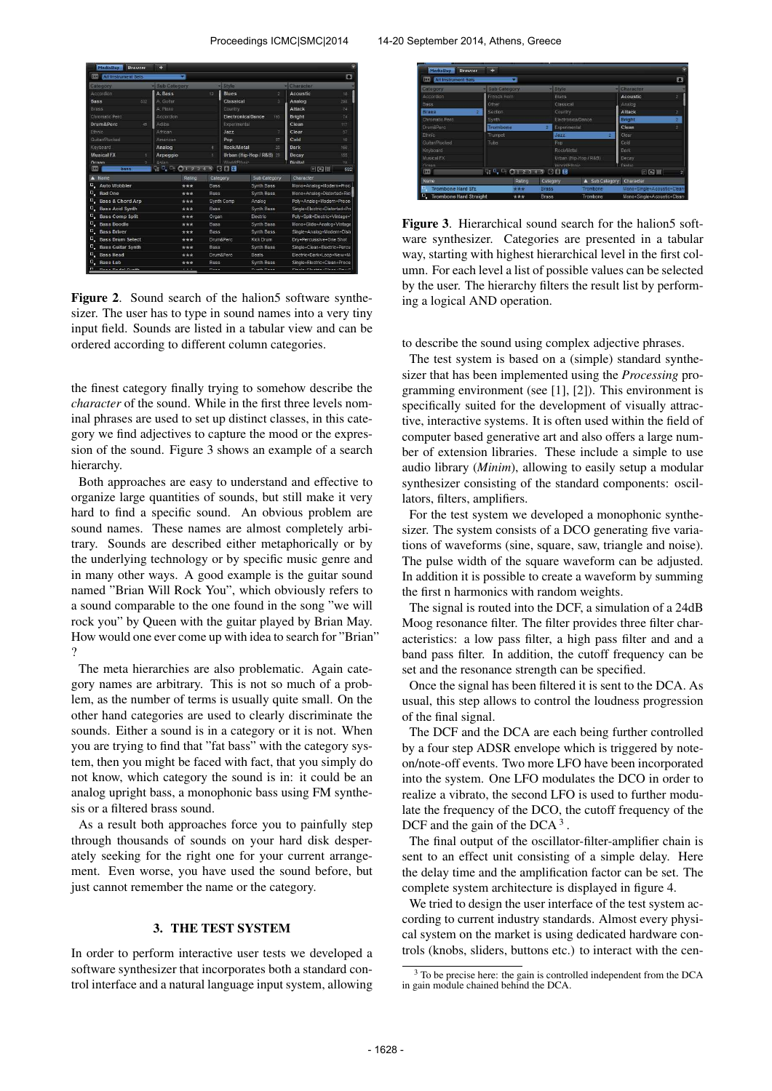| œ<br><b>All Instrument Sets</b>   | ∍                         |             |                          |                          |                                                | O   |
|-----------------------------------|---------------------------|-------------|--------------------------|--------------------------|------------------------------------------------|-----|
| Category                          | <b>Sub Category</b>       |             | - Style                  |                          | Character                                      |     |
| Accordion                         | A. Bass                   | 12          | <b>Blues</b>             | $\overline{2}$           | Acoustic                                       | 18  |
| 532<br><b>Bass</b>                | A. Guitar                 |             | Classical                | $\bar{3}$                | Analog                                         | 298 |
| Brass                             | A Piano                   |             | Country                  |                          | <b>Attack</b>                                  | 74  |
| Chromatic Perc                    | Accordion                 |             | <b>Flectronica/Dance</b> | 193                      | <b>Bright</b>                                  | 74  |
| Drum&Perc<br>45                   | Adibs                     |             | Experimental             |                          | Clean                                          | 117 |
| Ethnic                            | African                   |             | 3377                     |                          | Clear                                          | 37  |
| Gutar/Plucked                     | American                  |             | Pop                      | 97                       | Cold                                           | 10  |
| Keyboard                          | Analog                    | ۵           | <b>Rock/Metal</b>        | 20                       | Dark                                           | 168 |
| <b>Musical FX</b>                 | Arpeggio                  |             |                          | Urban (Hip-Hop / R&B) 29 | Decay                                          | 155 |
| Organ                             | Asian.                    |             | World/Ethnic             |                          | Digital                                        | 78  |
| <b>DOG</b><br>bass                | 0, 0, 0, 0, 1, 2, 3, 4, 5 |             | 008                      |                          | 日日画                                            | 592 |
| Name                              | Rating                    |             | Category                 | Sub Category             | Character                                      |     |
| о,<br><b>Auto Wobbler</b>         | ***                       | Bass        |                          | Synth Bass               | Mono+Analog+Modern+Proc                        |     |
| o,<br><b>Bad One</b>              | ***                       | Bass        |                          | Synth Bass               | Mono+Analog+Distorted+Ric                      |     |
| Ξ.<br><b>Bass &amp; Chord Arp</b> | ***                       |             | Synth Comp               | Analog                   | Poly+Analog+Modern+Proce                       |     |
| ο.<br><b>Bass Acid Synth</b>      | ***                       | Bass        |                          | Synth Bass               | Single+Electric+Distorted+Pn                   |     |
| Ο.<br><b>Bass Comp Split</b>      | ***                       |             | Organ                    | Electric                 | Polv+Split+Electric+Vintage+1                  |     |
| D,<br><b>Bass Doodle</b>          | ***                       | <b>Bass</b> |                          | Synth Bass               | Mono+Glide+Analog+Vintage                      |     |
| o,<br><b>Bass Driver</b>          | ***                       | Bass        |                          | Synth Bass               | Single+Analog+Modern+Disti                     |     |
| Ξ.<br><b>Bass Drum Select</b>     | ***                       |             | Drum&Perc                | Kick Drum                | Drv+Percussive+One Shot                        |     |
| ο.<br><b>Bass Guitar Synth</b>    | ***                       | Bass        |                          | Synth Bass               | Single+Clean+Electric+Percu                    |     |
| D.<br><b>Bass Head</b>            | ***                       |             | Drum&Perc                | Beats                    | Electric+Dark+Loop+New+M                       |     |
| Ξ.<br><b>Bass Lab</b>             | ***                       | Bass        |                          | Synth Bass               | Single+Electric+Clean+Proce                    |     |
| n<br><b>World Washington</b>      | $+1 + 1 +$                | $n = -$     |                          | Private Prices           | Principal of the adults of the search from the |     |

Figure 2. Sound search of the halion5 software synthesizer. The user has to type in sound names into a very tiny input field. Sounds are listed in a tabular view and can be ordered according to different column categories.

the finest category finally trying to somehow describe the *character* of the sound. While in the first three levels nominal phrases are used to set up distinct classes, in this category we find adjectives to capture the mood or the expression of the sound. Figure 3 shows an example of a search hierarchy.

Both approaches are easy to understand and effective to organize large quantities of sounds, but still make it very hard to find a specific sound. An obvious problem are sound names. These names are almost completely arbitrary. Sounds are described either metaphorically or by the underlying technology or by specific music genre and in many other ways. A good example is the guitar sound named "Brian Will Rock You", which obviously refers to a sound comparable to the one found in the song "we will rock you" by Queen with the guitar played by Brian May. How would one ever come up with idea to search for "Brian" ?

The meta hierarchies are also problematic. Again category names are arbitrary. This is not so much of a problem, as the number of terms is usually quite small. On the other hand categories are used to clearly discriminate the sounds. Either a sound is in a category or it is not. When you are trying to find that "fat bass" with the category system, then you might be faced with fact, that you simply do not know, which category the sound is in: it could be an analog upright bass, a monophonic bass using FM synthesis or a filtered brass sound.

As a result both approaches force you to painfully step through thousands of sounds on your hard disk desperately seeking for the right one for your current arrangement. Even worse, you have used the sound before, but just cannot remember the name or the category.

# 3. THE TEST SYSTEM

In order to perform interactive user tests we developed a software synthesizer that incorporates both a standard control interface and a natural language input system, allowing



Figure 3. Hierarchical sound search for the halion5 software synthesizer. Categories are presented in a tabular way, starting with highest hierarchical level in the first column. For each level a list of possible values can be selected by the user. The hierarchy filters the result list by performing a logical AND operation.

to describe the sound using complex adjective phrases.

The test system is based on a (simple) standard synthesizer that has been implemented using the *Processing* programming environment (see [1], [2]). This environment is specifically suited for the development of visually attractive, interactive systems. It is often used within the field of computer based generative art and also offers a large number of extension libraries. These include a simple to use audio library (*Minim*), allowing to easily setup a modular synthesizer consisting of the standard components: oscillators, filters, amplifiers.

For the test system we developed a monophonic synthesizer. The system consists of a DCO generating five variations of waveforms (sine, square, saw, triangle and noise). The pulse width of the square waveform can be adjusted. In addition it is possible to create a waveform by summing the first n harmonics with random weights.

The signal is routed into the DCF, a simulation of a 24dB Moog resonance filter. The filter provides three filter characteristics: a low pass filter, a high pass filter and and a band pass filter. In addition, the cutoff frequency can be set and the resonance strength can be specified.

Once the signal has been filtered it is sent to the DCA. As usual, this step allows to control the loudness progression of the final signal.

The DCF and the DCA are each being further controlled by a four step ADSR envelope which is triggered by noteon/note-off events. Two more LFO have been incorporated into the system. One LFO modulates the DCO in order to realize a vibrato, the second LFO is used to further modulate the frequency of the DCO, the cutoff frequency of the DCF and the gain of the DCA $<sup>3</sup>$ .</sup>

The final output of the oscillator-filter-amplifier chain is sent to an effect unit consisting of a simple delay. Here the delay time and the amplification factor can be set. The complete system architecture is displayed in figure 4.

We tried to design the user interface of the test system according to current industry standards. Almost every physical system on the market is using dedicated hardware controls (knobs, sliders, buttons etc.) to interact with the cen-

 $3$  To be precise here: the gain is controlled independent from the DCA in gain module chained behind the DCA.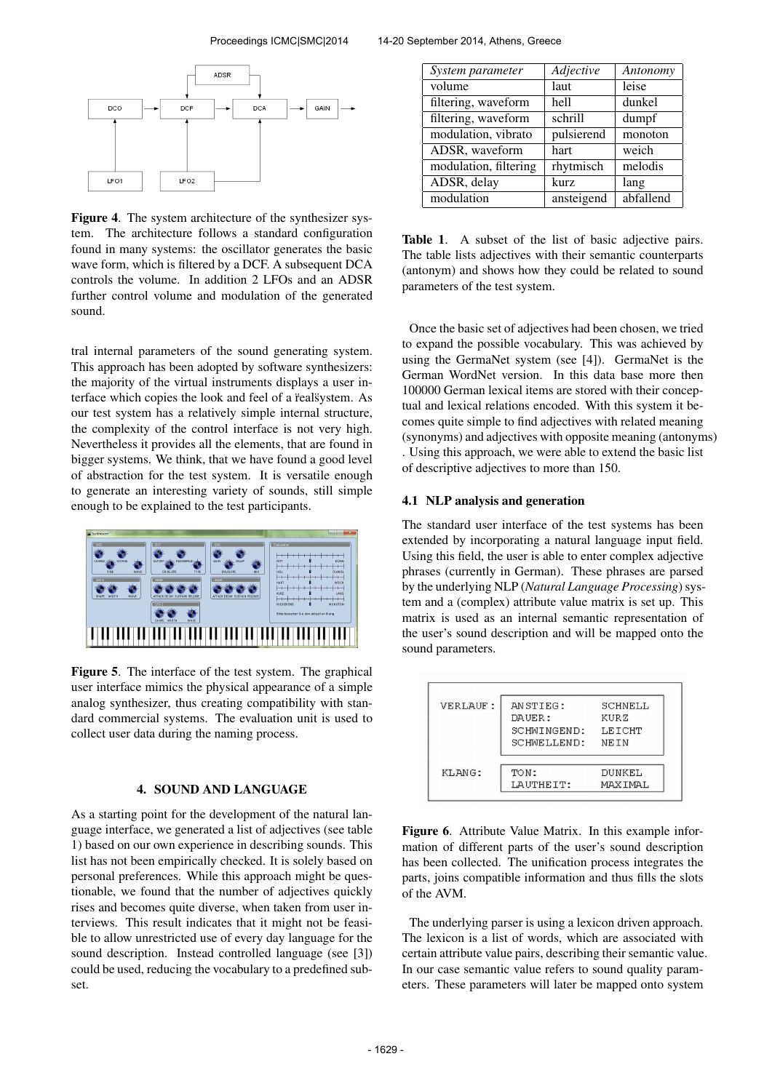

Figure 4. The system architecture of the synthesizer system. The architecture follows a standard configuration found in many systems: the oscillator generates the basic wave form, which is filtered by a DCF. A subsequent DCA controls the volume. In addition 2 LFOs and an ADSR further control volume and modulation of the generated sound.

tral internal parameters of the sound generating system. This approach has been adopted by software synthesizers: the majority of the virtual instruments displays a user interface which copies the look and feel of a realsystem. As our test system has a relatively simple internal structure, the complexity of the control interface is not very high. Nevertheless it provides all the elements, that are found in bigger systems. We think, that we have found a good level of abstraction for the test system. It is versatile enough to generate an interesting variety of sounds, still simple enough to be explained to the test participants.



Figure 5. The interface of the test system. The graphical user interface mimics the physical appearance of a simple analog synthesizer, thus creating compatibility with standard commercial systems. The evaluation unit is used to collect user data during the naming process.

# 4. SOUND AND LANGUAGE

As a starting point for the development of the natural language interface, we generated a list of adjectives (see table 1) based on our own experience in describing sounds. This list has not been empirically checked. It is solely based on personal preferences. While this approach might be questionable, we found that the number of adjectives quickly rises and becomes quite diverse, when taken from user interviews. This result indicates that it might not be feasible to allow unrestricted use of every day language for the sound description. Instead controlled language (see [3]) could be used, reducing the vocabulary to a predefined subset.

| System parameter      | Adjective  | Antonomy  |
|-----------------------|------------|-----------|
| volume                | laut       | leise     |
| filtering, waveform   | hell       | dunkel    |
| filtering, waveform   | schrill    | dumpf     |
| modulation, vibrato   | pulsierend | monoton   |
| ADSR, waveform        | hart       | weich     |
| modulation, filtering | rhytmisch  | melodis   |
| ADSR, delay           | kurz       | lang      |
| modulation            | ansteigend | abfallend |

Table 1. A subset of the list of basic adjective pairs. The table lists adjectives with their semantic counterparts (antonym) and shows how they could be related to sound parameters of the test system.

Once the basic set of adjectives had been chosen, we tried to expand the possible vocabulary. This was achieved by using the GermaNet system (see [4]). GermaNet is the German WordNet version. In this data base more then 100000 German lexical items are stored with their conceptual and lexical relations encoded. With this system it becomes quite simple to find adjectives with related meaning (synonyms) and adjectives with opposite meaning (antonyms) . Using this approach, we were able to extend the basic list of descriptive adjectives to more than 150.

#### 4.1 NLP analysis and generation

The standard user interface of the test systems has been extended by incorporating a natural language input field. Using this field, the user is able to enter complex adjective phrases (currently in German). These phrases are parsed by the underlying NLP (*Natural Language Processing*) system and a (complex) attribute value matrix is set up. This matrix is used as an internal semantic representation of the user's sound description and will be mapped onto the sound parameters.

| VERLAUF: | ANSTIEG:<br>DAUER: | SCHNELL<br>KURZ |
|----------|--------------------|-----------------|
|          | SCHMINGEND:        | LETCHT          |
|          | SCHMELLEND:        | NEIN            |
| KLANG:   | TON:               | DUNKEL          |
|          | LAUTHEIT:          | MAXIMAL         |

Figure 6. Attribute Value Matrix. In this example information of different parts of the user's sound description has been collected. The unification process integrates the parts, joins compatible information and thus fills the slots of the AVM.

The underlying parser is using a lexicon driven approach. The lexicon is a list of words, which are associated with certain attribute value pairs, describing their semantic value. In our case semantic value refers to sound quality parameters. These parameters will later be mapped onto system